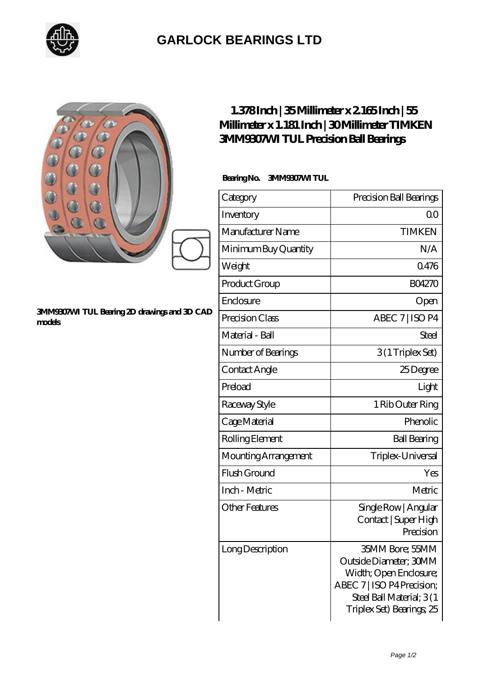

## **[GARLOCK BEARINGS LTD](https://letterstopriests.com)**

|                                                       | $1.378$ Inch   35Millimeter x 2 165 Inch   55<br>Millimeter x 1.181 Inch   30Millimeter TIMKEN<br><b>3MM9307WITUL Precision Ball Bearings</b><br>BearingNo.<br><b>3MM9907MTUL</b> |                                                                                                                                                             |
|-------------------------------------------------------|-----------------------------------------------------------------------------------------------------------------------------------------------------------------------------------|-------------------------------------------------------------------------------------------------------------------------------------------------------------|
|                                                       | Category                                                                                                                                                                          | Precision Ball Bearings                                                                                                                                     |
|                                                       | Inventory                                                                                                                                                                         | 0 <sup>0</sup>                                                                                                                                              |
|                                                       | Manufacturer Name                                                                                                                                                                 | <b>TIMKEN</b>                                                                                                                                               |
|                                                       | Minimum Buy Quantity                                                                                                                                                              | N/A                                                                                                                                                         |
|                                                       | Weight                                                                                                                                                                            | 0476                                                                                                                                                        |
|                                                       | Product Group                                                                                                                                                                     | <b>BO4270</b>                                                                                                                                               |
|                                                       | Enclosure                                                                                                                                                                         | Open                                                                                                                                                        |
| 3MM9307M TUL Bearing 2D drawings and 3D CAD<br>models | Precision Class                                                                                                                                                                   | ABEC 7   ISO P4                                                                                                                                             |
|                                                       | Material - Ball                                                                                                                                                                   | Steel                                                                                                                                                       |
|                                                       | Number of Bearings                                                                                                                                                                | 3(1Triplex Set)                                                                                                                                             |
|                                                       | Contact Angle                                                                                                                                                                     | 25Degree                                                                                                                                                    |
|                                                       | Preload                                                                                                                                                                           | Light                                                                                                                                                       |
|                                                       | Raceway Style                                                                                                                                                                     | 1 Rib Outer Ring                                                                                                                                            |
|                                                       | Cage Material                                                                                                                                                                     | Phenolic                                                                                                                                                    |
|                                                       | Rolling Element                                                                                                                                                                   | <b>Ball Bearing</b>                                                                                                                                         |
|                                                       | Mounting Arrangement                                                                                                                                                              | Triplex-Universal                                                                                                                                           |
|                                                       | Flush Ground                                                                                                                                                                      | Yes                                                                                                                                                         |
|                                                       | Inch - Metric                                                                                                                                                                     | Metric                                                                                                                                                      |
|                                                       | <b>Other Features</b>                                                                                                                                                             | Single Row   Angular<br>Contact   Super High<br>Precision                                                                                                   |
|                                                       | Long Description                                                                                                                                                                  | 35MM Bore; 55MM<br>Outside Diameter; 30MM<br>Width; Open Enclosure;<br>ABEC 7   ISO P4 Precision;<br>Steel Ball Material; 3(1)<br>Triplex Set) Bearings; 25 |